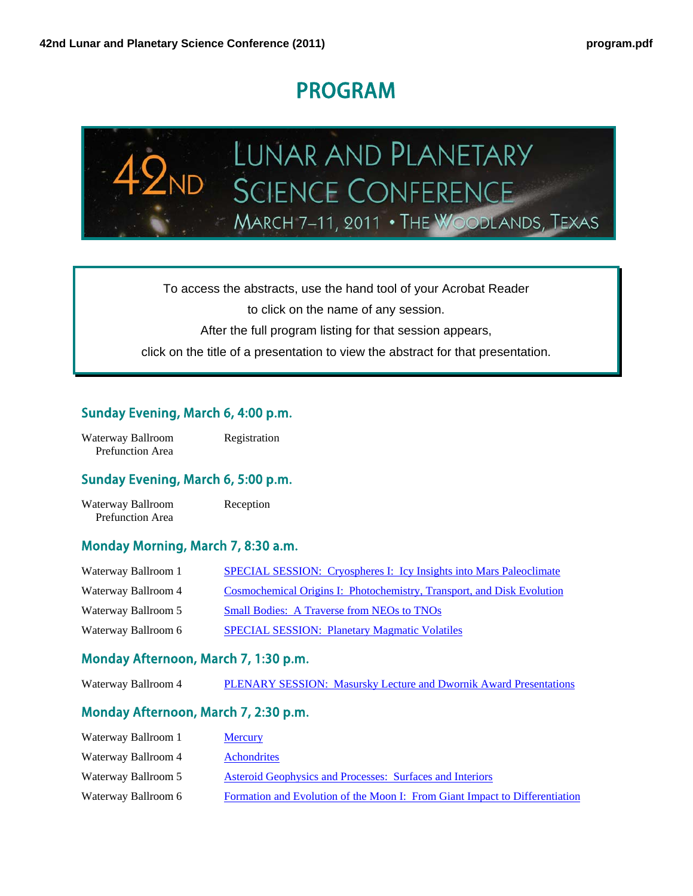# PROGRAM



To access the abstracts, use the hand tool of your Acrobat Reader

to click on the name of any session.

After the full program listing for that session appears,

click on the title of a presentation to view the abstract for that presentation.

#### Sunday Evening, March 6, 4:00 p.m.

| Waterway Ballroom       | Registration |
|-------------------------|--------------|
| <b>Prefunction Area</b> |              |

#### Sunday Evening, March 6, 5:00 p.m.

Waterway Ballroom Reception Prefunction Area

#### Monday Morning, March 7, 8:30 a.m.

| Waterway Ballroom 1 | SPECIAL SESSION: Cryospheres I: Icy Insights into Mars Paleoclimate    |
|---------------------|------------------------------------------------------------------------|
| Waterway Ballroom 4 | Cosmochemical Origins I: Photochemistry, Transport, and Disk Evolution |
| Waterway Ballroom 5 | <b>Small Bodies: A Traverse from NEOs to TNOs</b>                      |
| Waterway Ballroom 6 | <b>SPECIAL SESSION: Planetary Magmatic Volatiles</b>                   |

#### Monday Afternoon, March 7, 1:30 p.m.

#### Monday Afternoon, March 7, 2:30 p.m.

| Waterway Ballroom 1 | <b>Mercury</b>                                                              |
|---------------------|-----------------------------------------------------------------------------|
| Waterway Ballroom 4 | <b>Achondrities</b>                                                         |
| Waterway Ballroom 5 | Asteroid Geophysics and Processes: Surfaces and Interiors                   |
| Waterway Ballroom 6 | Formation and Evolution of the Moon I: From Giant Impact to Differentiation |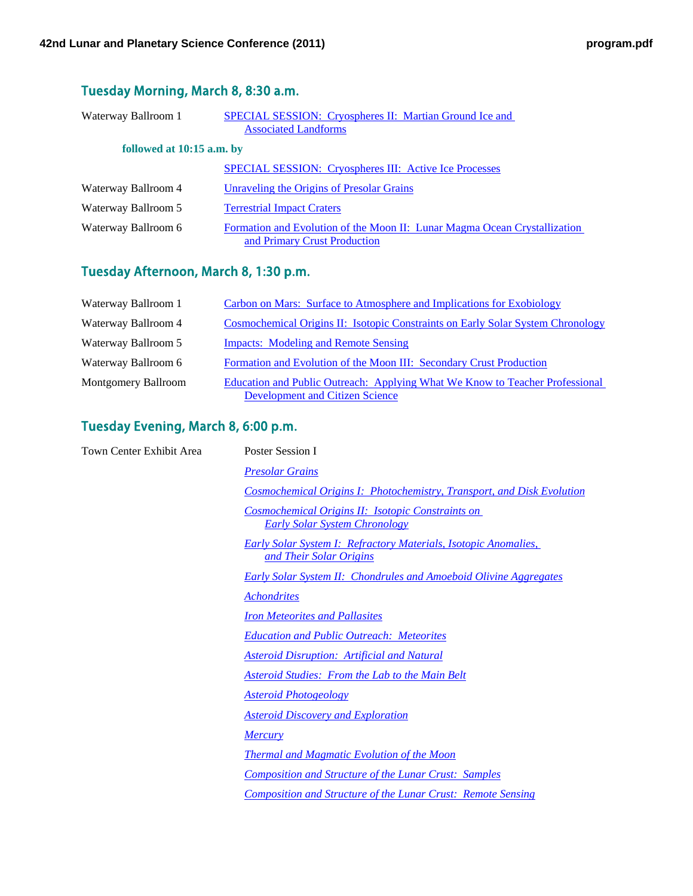### Tuesday Morning, March 8, 8:30 a.m.

| Waterway Ballroom 1       | <b>SPECIAL SESSION:</b> Cryospheres II: Martian Ground Ice and                                            |
|---------------------------|-----------------------------------------------------------------------------------------------------------|
|                           | <b>Associated Landforms</b>                                                                               |
| followed at 10:15 a.m. by |                                                                                                           |
|                           | <b>SPECIAL SESSION: Cryospheres III: Active Ice Processes</b>                                             |
| Waterway Ballroom 4       | Unraveling the Origins of Presolar Grains                                                                 |
| Waterway Ballroom 5       | <b>Terrestrial Impact Craters</b>                                                                         |
| Waterway Ballroom 6       | Formation and Evolution of the Moon II: Lunar Magma Ocean Crystallization<br>and Primary Crust Production |

### Tuesday Afternoon, March 8, 1:30 p.m.

| Waterway Ballroom 1        | Carbon on Mars: Surface to Atmosphere and Implications for Exobiology                                                  |
|----------------------------|------------------------------------------------------------------------------------------------------------------------|
| Waterway Ballroom 4        | <b>Cosmochemical Origins II: Isotopic Constraints on Early Solar System Chronology</b>                                 |
| Waterway Ballroom 5        | <b>Impacts:</b> Modeling and Remote Sensing                                                                            |
| Waterway Ballroom 6        | Formation and Evolution of the Moon III: Secondary Crust Production                                                    |
| <b>Montgomery Ballroom</b> | Education and Public Outreach: Applying What We Know to Teacher Professional<br><b>Development and Citizen Science</b> |

# Tuesday Evening, March 8, 6:00 p.m.

| Town Center Exhibit Area | Poster Session I                                                                                  |
|--------------------------|---------------------------------------------------------------------------------------------------|
|                          | <b>Presolar Grains</b>                                                                            |
|                          | Cosmochemical Origins I: Photochemistry, Transport, and Disk Evolution                            |
|                          | Cosmochemical Origins II: Isotopic Constraints on<br><b>Early Solar System Chronology</b>         |
|                          | <b>Early Solar System I: Refractory Materials, Isotopic Anomalies,</b><br>and Their Solar Origins |
|                          | <b>Early Solar System II: Chondrules and Amoeboid Olivine Aggregates</b>                          |
|                          | <i>Achondrites</i>                                                                                |
|                          | <b>Iron Meteorites and Pallasites</b>                                                             |
|                          | <b>Education and Public Outreach: Meteorites</b>                                                  |
|                          | <b>Asteroid Disruption: Artificial and Natural</b>                                                |
|                          | Asteroid Studies: From the Lab to the Main Belt                                                   |
|                          | <b>Asteroid Photogeology</b>                                                                      |
|                          | <b>Asteroid Discovery and Exploration</b>                                                         |
|                          | <b>Mercury</b>                                                                                    |
|                          | <b>Thermal and Magmatic Evolution of the Moon</b>                                                 |
|                          | <b>Composition and Structure of the Lunar Crust: Samples</b>                                      |
|                          | <b>Composition and Structure of the Lunar Crust: Remote Sensing</b>                               |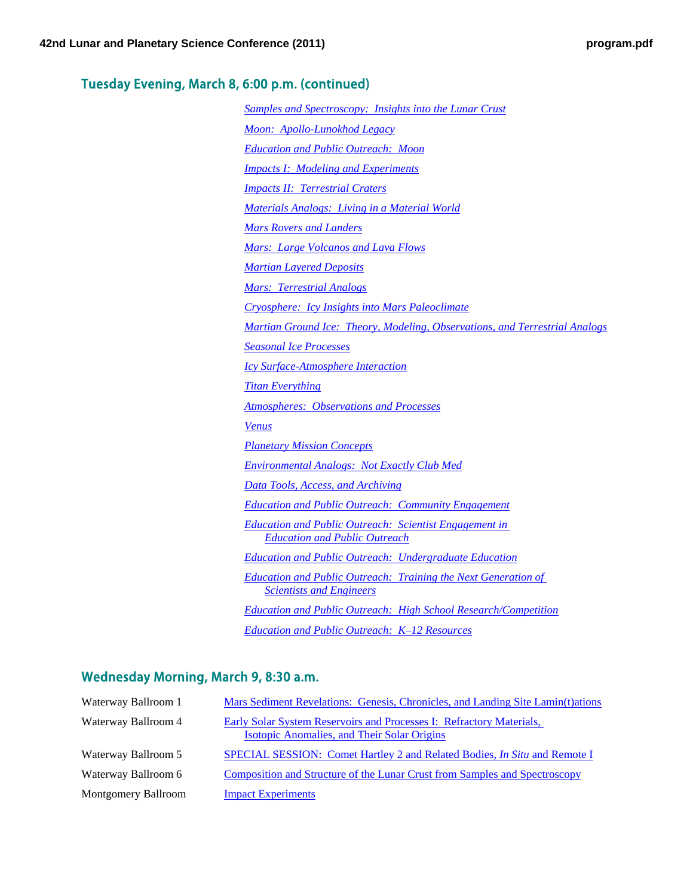### Tuesday Evening, March 8, 6:00 p.m. (continued)

| <b>Samples and Spectroscopy: Insights into the Lunar Crust</b>                                           |
|----------------------------------------------------------------------------------------------------------|
| Moon: Apollo-Lunokhod Legacy                                                                             |
| <b>Education and Public Outreach: Moon</b>                                                               |
| <b>Impacts I: Modeling and Experiments</b>                                                               |
| <b>Impacts II: Terrestrial Craters</b>                                                                   |
| Materials Analogs: Living in a Material World                                                            |
| <b>Mars Rovers and Landers</b>                                                                           |
| Mars: Large Volcanos and Lava Flows                                                                      |
| <b>Martian Layered Deposits</b>                                                                          |
| <b>Mars: Terrestrial Analogs</b>                                                                         |
| <b>Cryosphere:</b> Icy Insights into Mars Paleoclimate                                                   |
| Martian Ground Ice: Theory, Modeling, Observations, and Terrestrial Analogs                              |
| <b>Seasonal Ice Processes</b>                                                                            |
| <b>Icy Surface-Atmosphere Interaction</b>                                                                |
| <b>Titan Everything</b>                                                                                  |
| <b>Atmospheres: Observations and Processes</b>                                                           |
| <b>Venus</b>                                                                                             |
| <b>Planetary Mission Concepts</b>                                                                        |
| Environmental Analogs: Not Exactly Club Med                                                              |
| <b>Data Tools, Access, and Archiving</b>                                                                 |
| <b>Education and Public Outreach: Community Engagement</b>                                               |
| <b>Education and Public Outreach: Scientist Engagement in</b><br><b>Education and Public Outreach</b>    |
| <b>Education and Public Outreach: Undergraduate Education</b>                                            |
| <b>Education and Public Outreach: Training the Next Generation of</b><br><b>Scientists and Engineers</b> |
| <b>Education and Public Outreach: High School Research/Competition</b>                                   |
| <b>Education and Public Outreach: K-12 Resources</b>                                                     |

### Wednesday Morning, March 9, 8:30 a.m.

| Waterway Ballroom 1        | Mars Sediment Revelations: Genesis, Chronicles, and Landing Site Lamin(t)ations                                            |
|----------------------------|----------------------------------------------------------------------------------------------------------------------------|
| Waterway Ballroom 4        | Early Solar System Reservoirs and Processes I: Refractory Materials,<br><b>Isotopic Anomalies, and Their Solar Origins</b> |
| Waterway Ballroom 5        | SPECIAL SESSION: Comet Hartley 2 and Related Bodies, <i>In Situ</i> and Remote I                                           |
| Waterway Ballroom 6        | Composition and Structure of the Lunar Crust from Samples and Spectroscopy                                                 |
| <b>Montgomery Ballroom</b> | <b>Impact Experiments</b>                                                                                                  |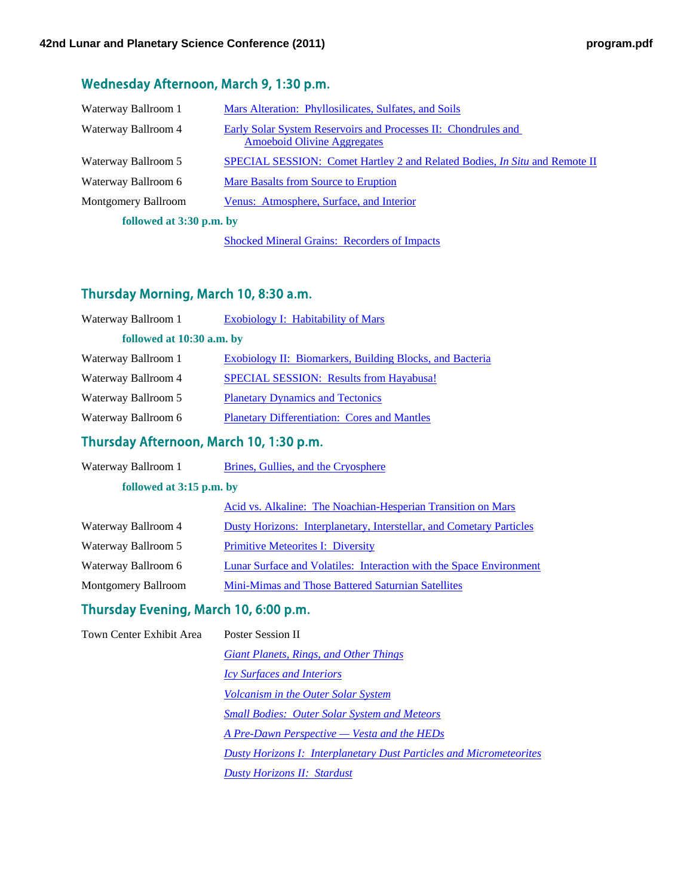### Wednesday Afternoon, March 9, 1:30 p.m.

| Waterway Ballroom 1      | Mars Alteration: Phyllosilicates, Sulfates, and Soils                                                       |
|--------------------------|-------------------------------------------------------------------------------------------------------------|
| Waterway Ballroom 4      | <b>Early Solar System Reservoirs and Processes II: Chondrules and</b><br><b>Amoeboid Olivine Aggregates</b> |
| Waterway Ballroom 5      | <b>SPECIAL SESSION:</b> Comet Hartley 2 and Related Bodies, <i>In Situ</i> and Remote II                    |
| Waterway Ballroom 6      | <b>Mare Basalts from Source to Eruption</b>                                                                 |
| Montgomery Ballroom      | Venus: Atmosphere, Surface, and Interior                                                                    |
| followed at 3:30 p.m. by |                                                                                                             |

[Shocked Mineral Grains: Recorders of Impacts](http://www.lpi.usra.edu/meetings/lpsc2011/pdf/sess456.pdf)

#### Thursday Morning, March 10, 8:30 a.m.

| Waterway Ballroom 1       | <b>Exobiology I: Habitability of Mars</b>                       |
|---------------------------|-----------------------------------------------------------------|
| followed at 10:30 a.m. by |                                                                 |
| Waterway Ballroom 1       | <b>Exobiology II: Biomarkers, Building Blocks, and Bacteria</b> |
| Waterway Ballroom 4       | <b>SPECIAL SESSION:</b> Results from Hayabusa!                  |
| Waterway Ballroom 5       | <b>Planetary Dynamics and Tectonics</b>                         |
| Waterway Ballroom 6       | <b>Planetary Differentiation: Cores and Mantles</b>             |

#### Thursday Afternoon, March 10, 1:30 p.m.

| Waterway Ballroom 1      | Brines, Gullies, and the Cryosphere                                        |
|--------------------------|----------------------------------------------------------------------------|
| followed at 3:15 p.m. by |                                                                            |
|                          | Acid vs. Alkaline: The Noachian-Hesperian Transition on Mars               |
| Waterway Ballroom 4      | Dusty Horizons: Interplanetary, Interstellar, and Cometary Particles       |
| Waterway Ballroom 5      | <b>Primitive Meteorites I: Diversity</b>                                   |
| Waterway Ballroom 6      | <b>Lunar Surface and Volatiles: Interaction with the Space Environment</b> |
| Montgomery Ballroom      | <b>Mini-Mimas and Those Battered Saturnian Satellites</b>                  |

#### Thursday Evening, March 10, 6:00 p.m.

| Town Center Exhibit Area | <b>Poster Session II</b>                                                   |
|--------------------------|----------------------------------------------------------------------------|
|                          | Giant Planets, Rings, and Other Things                                     |
|                          | <b>Icy Surfaces and Interiors</b>                                          |
|                          | <b>Volcanism in the Outer Solar System</b>                                 |
|                          | <b>Small Bodies: Outer Solar System and Meteors</b>                        |
|                          | <u>A Pre-Dawn Perspective — Vesta and the HEDs</u>                         |
|                          | <b>Dusty Horizons I: Interplanetary Dust Particles and Micrometeorites</b> |
|                          | <b>Dusty Horizons II: Stardust</b>                                         |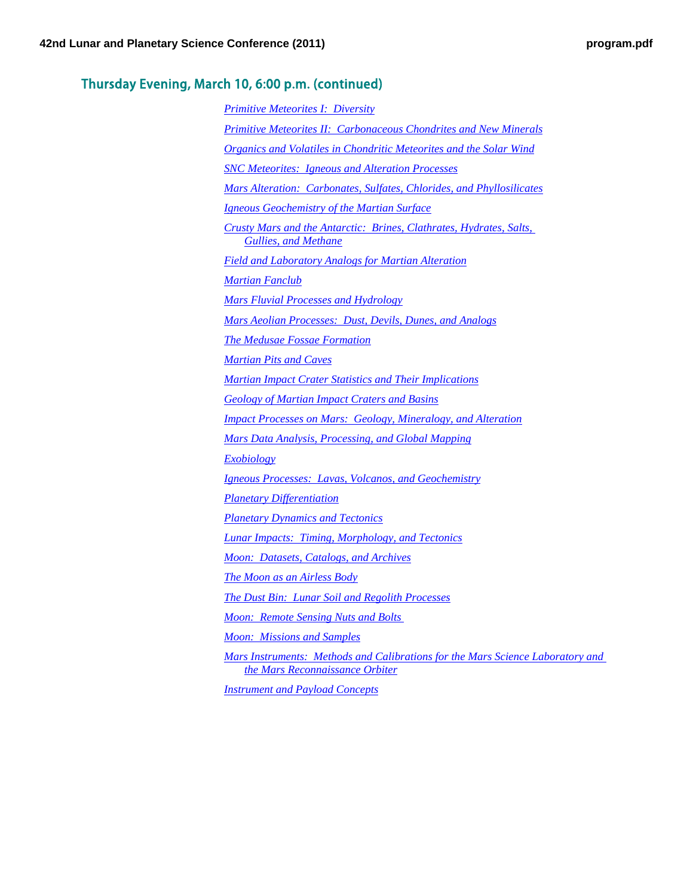### Thursday Evening, March 10, 6:00 p.m. (continued)

| <b>Primitive Meteorites I: Diversity</b>                                                                          |
|-------------------------------------------------------------------------------------------------------------------|
| <b>Primitive Meteorites II: Carbonaceous Chondrites and New Minerals</b>                                          |
| <u><b>Organics and Volatiles in Chondritic Meteorites and the Solar Wind</b></u>                                  |
| <b>SNC Meteorites: Igneous and Alteration Processes</b>                                                           |
| Mars Alteration: Carbonates, Sulfates, Chlorides, and Phyllosilicates                                             |
| Igneous Geochemistry of the Martian Surface                                                                       |
| Crusty Mars and the Antarctic: Brines, Clathrates, Hydrates, Salts,<br><b>Gullies, and Methane</b>                |
| <b>Field and Laboratory Analogs for Martian Alteration</b>                                                        |
| <b>Martian Fanclub</b>                                                                                            |
| <u>Mars Fluvial Processes and Hydrology</u>                                                                       |
| Mars Aeolian Processes: Dust, Devils, Dunes, and Analogs                                                          |
| <b>The Medusae Fossae Formation</b>                                                                               |
| <b>Martian Pits and Caves</b>                                                                                     |
| <b>Martian Impact Crater Statistics and Their Implications</b>                                                    |
| <b>Geology of Martian Impact Craters and Basins</b>                                                               |
| <u><b>Impact Processes on Mars: Geology, Mineralogy, and Alteration</b></u>                                       |
| Mars Data Analysis, Processing, and Global Mapping                                                                |
| Exobiology                                                                                                        |
| <b>Igneous Processes: Lavas, Volcanos, and Geochemistry</b>                                                       |
| <b>Planetary Differentiation</b>                                                                                  |
| <b>Planetary Dynamics and Tectonics</b>                                                                           |
| <b>Lunar Impacts: Timing, Morphology, and Tectonics</b>                                                           |
| <i>Moon: Datasets, Catalogs, and Archives</i>                                                                     |
| The Moon as an Airless Body                                                                                       |
| The Dust Bin: Lunar Soil and Regolith Processes                                                                   |
| <b>Moon: Remote Sensing Nuts and Bolts</b>                                                                        |
| <b>Moon: Missions and Samples</b>                                                                                 |
| Mars Instruments: Methods and Calibrations for the Mars Science Laboratory and<br>the Mars Reconnaissance Orbiter |
| <b>Instrument and Payload Concepts</b>                                                                            |